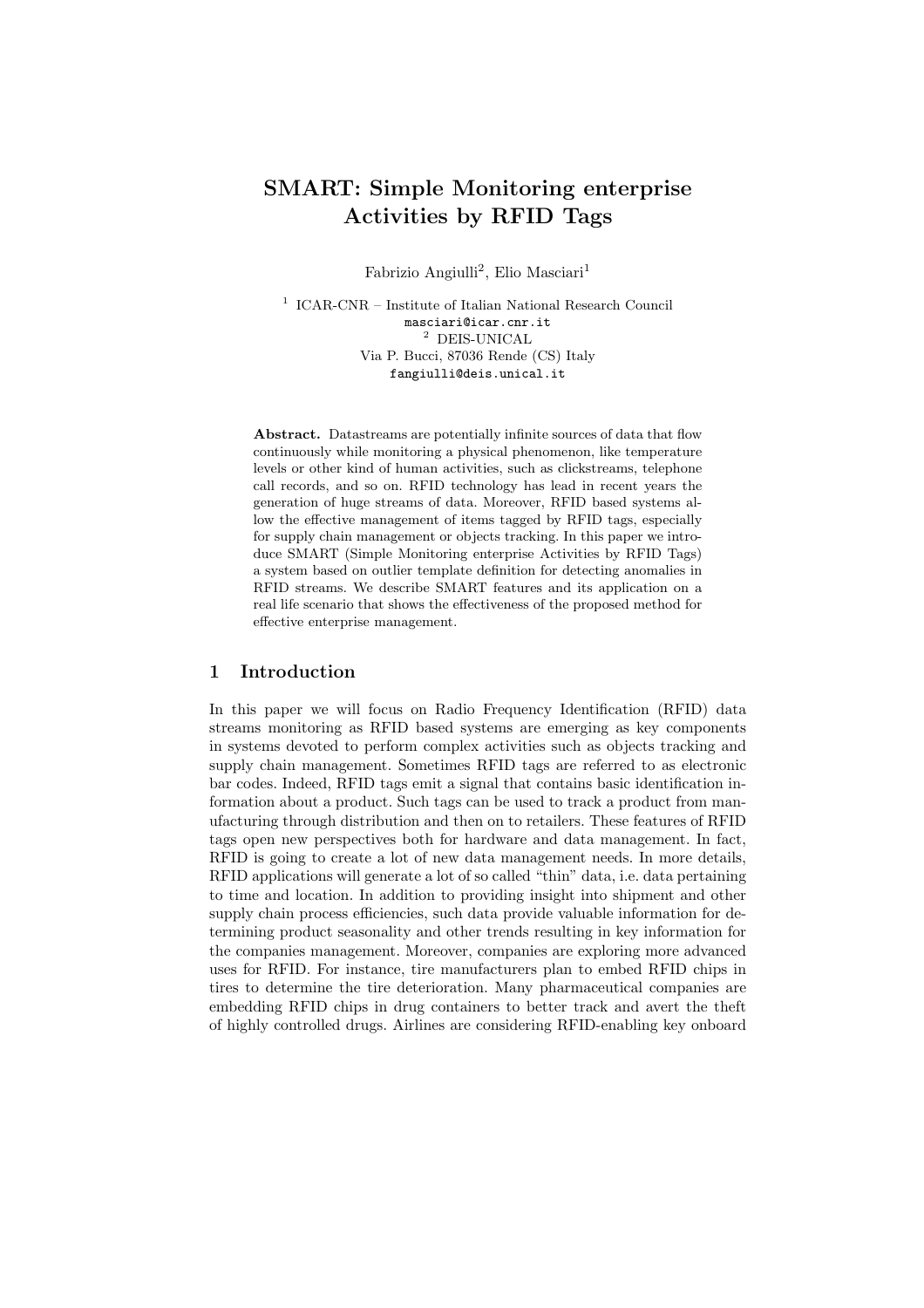# SMART: Simple Monitoring enterprise Activities by RFID Tags

Fabrizio Angiulli<sup>2</sup>, Elio Masciari<sup>1</sup>

1 ICAR-CNR – Institute of Italian National Research Council masciari@icar.cnr.it  $^{\rm 2}$  DEIS-UNICAL Via P. Bucci, 87036 Rende (CS) Italy fangiulli@deis.unical.it

Abstract. Datastreams are potentially infinite sources of data that flow continuously while monitoring a physical phenomenon, like temperature levels or other kind of human activities, such as clickstreams, telephone call records, and so on. RFID technology has lead in recent years the generation of huge streams of data. Moreover, RFID based systems allow the effective management of items tagged by RFID tags, especially for supply chain management or objects tracking. In this paper we introduce SMART (Simple Monitoring enterprise Activities by RFID Tags) a system based on outlier template definition for detecting anomalies in RFID streams. We describe SMART features and its application on a real life scenario that shows the effectiveness of the proposed method for effective enterprise management.

# 1 Introduction

In this paper we will focus on Radio Frequency Identification (RFID) data streams monitoring as RFID based systems are emerging as key components in systems devoted to perform complex activities such as objects tracking and supply chain management. Sometimes RFID tags are referred to as electronic bar codes. Indeed, RFID tags emit a signal that contains basic identification information about a product. Such tags can be used to track a product from manufacturing through distribution and then on to retailers. These features of RFID tags open new perspectives both for hardware and data management. In fact, RFID is going to create a lot of new data management needs. In more details, RFID applications will generate a lot of so called "thin" data, i.e. data pertaining to time and location. In addition to providing insight into shipment and other supply chain process efficiencies, such data provide valuable information for determining product seasonality and other trends resulting in key information for the companies management. Moreover, companies are exploring more advanced uses for RFID. For instance, tire manufacturers plan to embed RFID chips in tires to determine the tire deterioration. Many pharmaceutical companies are embedding RFID chips in drug containers to better track and avert the theft of highly controlled drugs. Airlines are considering RFID-enabling key onboard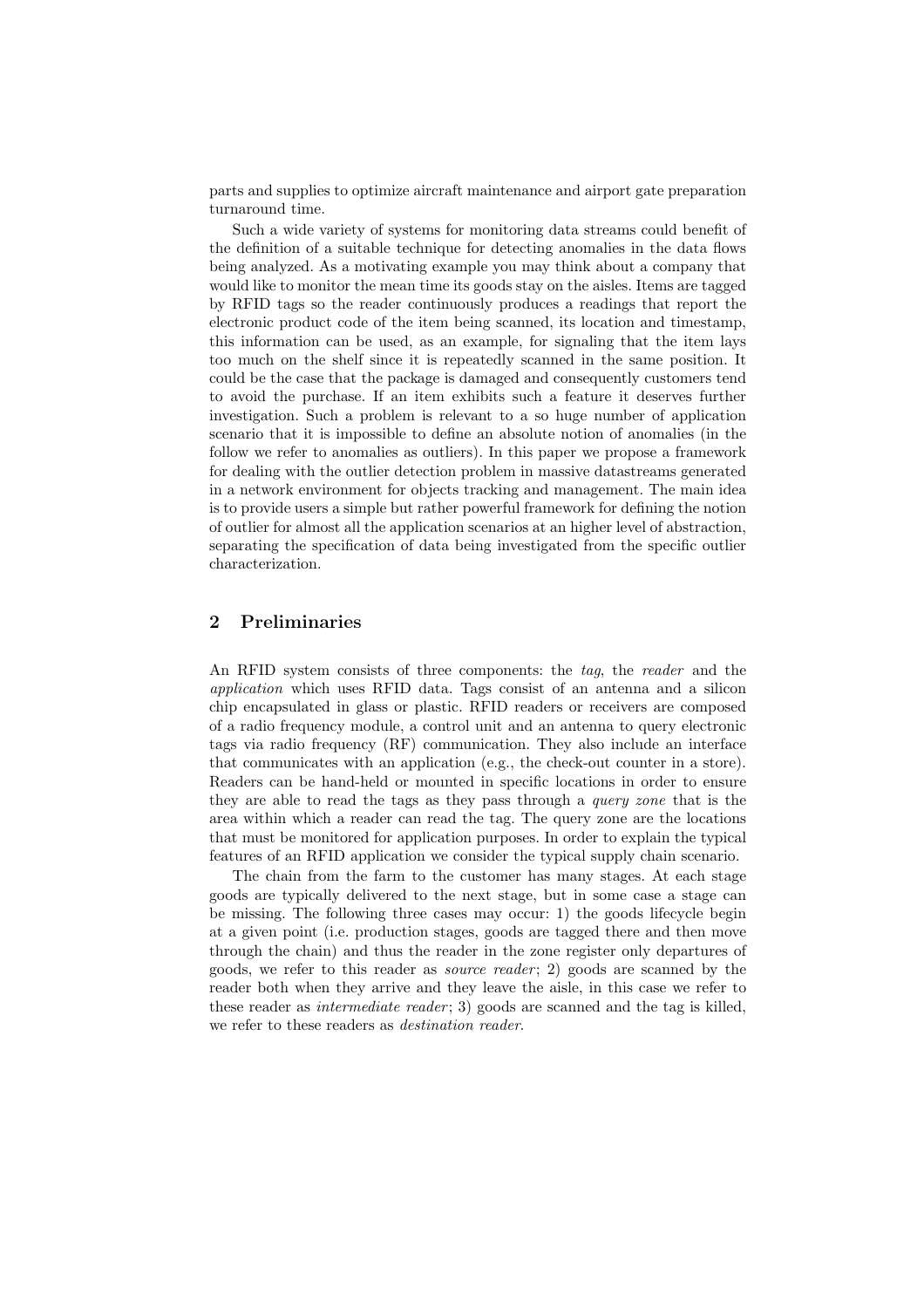parts and supplies to optimize aircraft maintenance and airport gate preparation turnaround time.

Such a wide variety of systems for monitoring data streams could benefit of the definition of a suitable technique for detecting anomalies in the data flows being analyzed. As a motivating example you may think about a company that would like to monitor the mean time its goods stay on the aisles. Items are tagged by RFID tags so the reader continuously produces a readings that report the electronic product code of the item being scanned, its location and timestamp, this information can be used, as an example, for signaling that the item lays too much on the shelf since it is repeatedly scanned in the same position. It could be the case that the package is damaged and consequently customers tend to avoid the purchase. If an item exhibits such a feature it deserves further investigation. Such a problem is relevant to a so huge number of application scenario that it is impossible to define an absolute notion of anomalies (in the follow we refer to anomalies as outliers). In this paper we propose a framework for dealing with the outlier detection problem in massive datastreams generated in a network environment for objects tracking and management. The main idea is to provide users a simple but rather powerful framework for defining the notion of outlier for almost all the application scenarios at an higher level of abstraction, separating the specification of data being investigated from the specific outlier characterization.

#### 2 Preliminaries

An RFID system consists of three components: the tag, the reader and the application which uses RFID data. Tags consist of an antenna and a silicon chip encapsulated in glass or plastic. RFID readers or receivers are composed of a radio frequency module, a control unit and an antenna to query electronic tags via radio frequency (RF) communication. They also include an interface that communicates with an application (e.g., the check-out counter in a store). Readers can be hand-held or mounted in specific locations in order to ensure they are able to read the tags as they pass through a query zone that is the area within which a reader can read the tag. The query zone are the locations that must be monitored for application purposes. In order to explain the typical features of an RFID application we consider the typical supply chain scenario.

The chain from the farm to the customer has many stages. At each stage goods are typically delivered to the next stage, but in some case a stage can be missing. The following three cases may occur: 1) the goods lifecycle begin at a given point (i.e. production stages, goods are tagged there and then move through the chain) and thus the reader in the zone register only departures of goods, we refer to this reader as *source reader*; 2) goods are scanned by the reader both when they arrive and they leave the aisle, in this case we refer to these reader as *intermediate reader*; 3) goods are scanned and the tag is killed, we refer to these readers as destination reader.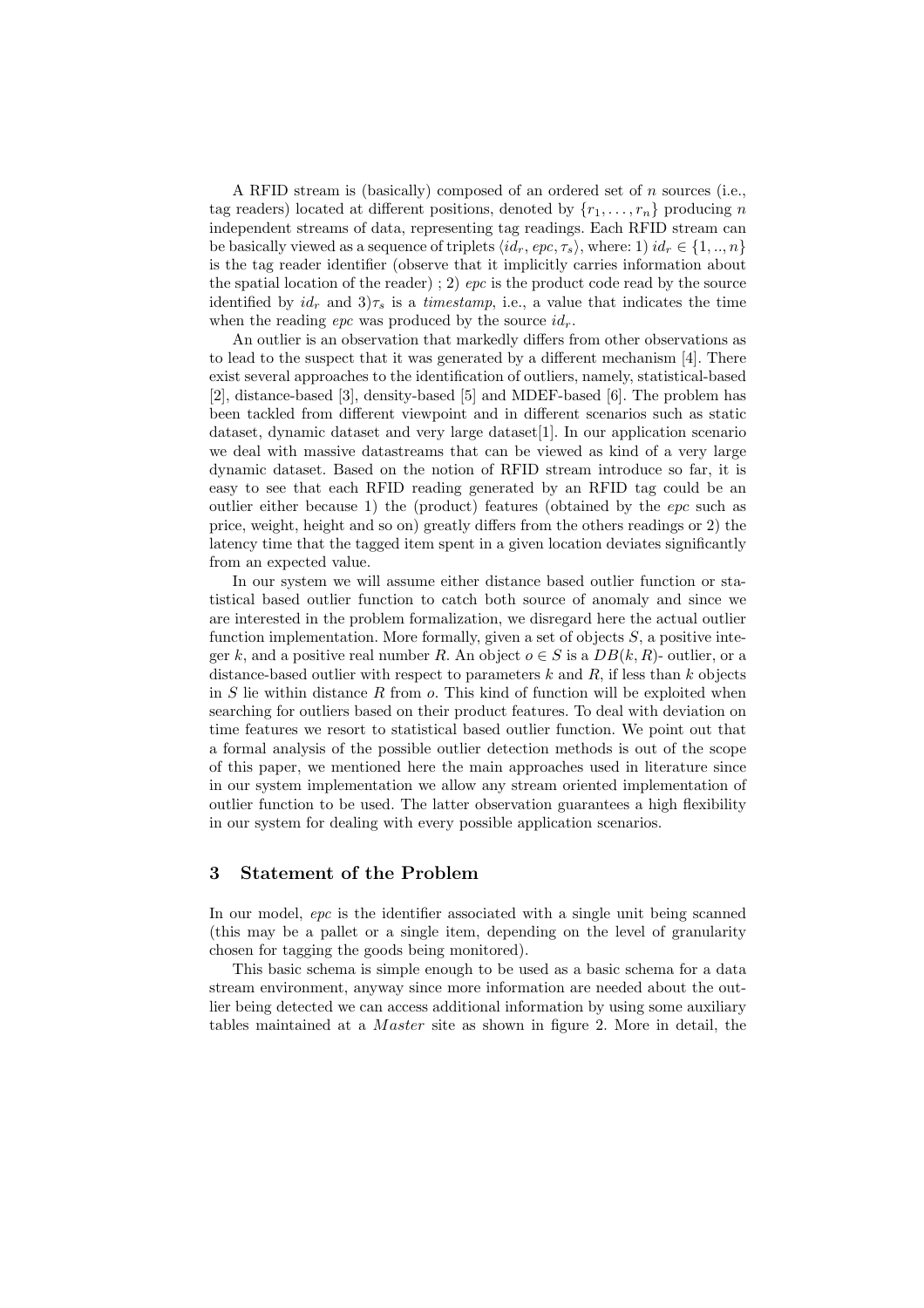A RFID stream is (basically) composed of an ordered set of n sources (i.e., tag readers) located at different positions, denoted by  $\{r_1, \ldots, r_n\}$  producing n independent streams of data, representing tag readings. Each RFID stream can be basically viewed as a sequence of triplets  $\langle id_r, epc, \tau_s \rangle$ , where: 1)  $id_r \in \{1, ..., n\}$ is the tag reader identifier (observe that it implicitly carries information about the spatial location of the reader)  $; 2)$  epc is the product code read by the source identified by  $id_r$  and  $3\tau_s$  is a *timestamp*, i.e., a value that indicates the time when the reading *epc* was produced by the source  $id_r$ .

An outlier is an observation that markedly differs from other observations as to lead to the suspect that it was generated by a different mechanism [4]. There exist several approaches to the identification of outliers, namely, statistical-based [2], distance-based [3], density-based [5] and MDEF-based [6]. The problem has been tackled from different viewpoint and in different scenarios such as static dataset, dynamic dataset and very large dataset<sup>[1]</sup>. In our application scenario we deal with massive datastreams that can be viewed as kind of a very large dynamic dataset. Based on the notion of RFID stream introduce so far, it is easy to see that each RFID reading generated by an RFID tag could be an outlier either because 1) the (product) features (obtained by the epc such as price, weight, height and so on) greatly differs from the others readings or 2) the latency time that the tagged item spent in a given location deviates significantly from an expected value.

In our system we will assume either distance based outlier function or statistical based outlier function to catch both source of anomaly and since we are interested in the problem formalization, we disregard here the actual outlier function implementation. More formally, given a set of objects  $S$ , a positive integer k, and a positive real number R. An object  $o \in S$  is a  $DB(k, R)$ - outlier, or a distance-based outlier with respect to parameters  $k$  and  $R$ , if less than  $k$  objects in S lie within distance R from  $\alpha$ . This kind of function will be exploited when searching for outliers based on their product features. To deal with deviation on time features we resort to statistical based outlier function. We point out that a formal analysis of the possible outlier detection methods is out of the scope of this paper, we mentioned here the main approaches used in literature since in our system implementation we allow any stream oriented implementation of outlier function to be used. The latter observation guarantees a high flexibility in our system for dealing with every possible application scenarios.

### 3 Statement of the Problem

In our model, epc is the identifier associated with a single unit being scanned (this may be a pallet or a single item, depending on the level of granularity chosen for tagging the goods being monitored).

This basic schema is simple enough to be used as a basic schema for a data stream environment, anyway since more information are needed about the outlier being detected we can access additional information by using some auxiliary tables maintained at a *M aster* site as shown in figure 2. More in detail, the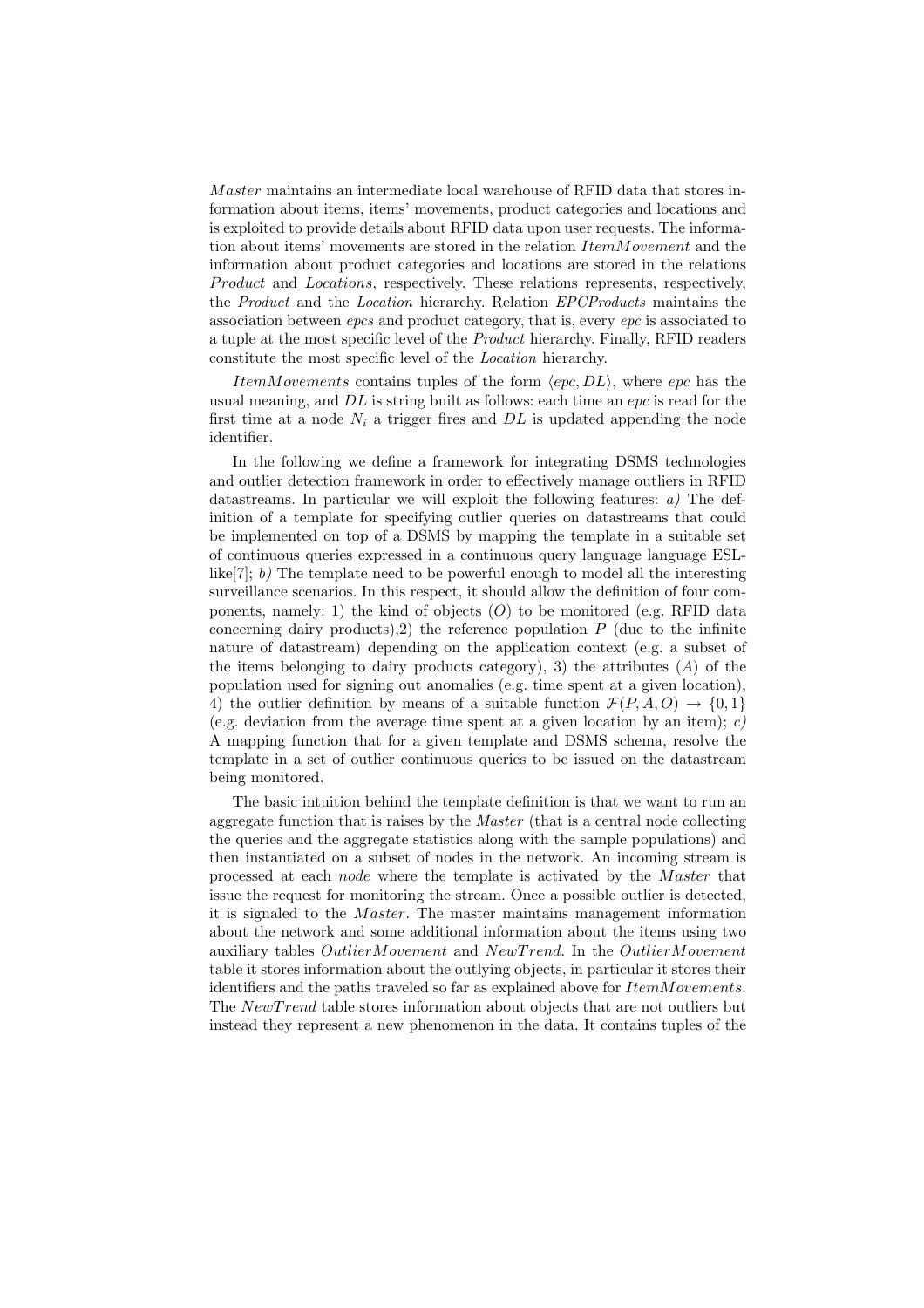Master maintains an intermediate local warehouse of RFID data that stores information about items, items' movements, product categories and locations and is exploited to provide details about RFID data upon user requests. The information about items' movements are stored in the relation ItemMovement and the information about product categories and locations are stored in the relations Product and Locations, respectively. These relations represents, respectively, the Product and the Location hierarchy. Relation EPCProducts maintains the association between epcs and product category, that is, every epc is associated to a tuple at the most specific level of the Product hierarchy. Finally, RFID readers constitute the most specific level of the Location hierarchy.

ItemMovements contains tuples of the form  $\langle epc, DL \rangle$ , where epc has the usual meaning, and  $DL$  is string built as follows: each time an epc is read for the first time at a node  $N_i$  a trigger fires and  $DL$  is updated appending the node identifier.

In the following we define a framework for integrating DSMS technologies and outlier detection framework in order to effectively manage outliers in RFID datastreams. In particular we will exploit the following features: a) The definition of a template for specifying outlier queries on datastreams that could be implemented on top of a DSMS by mapping the template in a suitable set of continuous queries expressed in a continuous query language language ESLlike<sup>[7]</sup>; b) The template need to be powerful enough to model all the interesting surveillance scenarios. In this respect, it should allow the definition of four components, namely: 1) the kind of objects  $(O)$  to be monitored (e.g. RFID data concerning dairy products), 2) the reference population  $P$  (due to the infinite nature of datastream) depending on the application context (e.g. a subset of the items belonging to dairy products category), 3) the attributes  $(A)$  of the population used for signing out anomalies (e.g. time spent at a given location), 4) the outlier definition by means of a suitable function  $\mathcal{F}(P, A, O) \rightarrow \{0, 1\}$ (e.g. deviation from the average time spent at a given location by an item);  $c$ ) A mapping function that for a given template and DSMS schema, resolve the template in a set of outlier continuous queries to be issued on the datastream being monitored.

The basic intuition behind the template definition is that we want to run an aggregate function that is raises by the Master (that is a central node collecting the queries and the aggregate statistics along with the sample populations) and then instantiated on a subset of nodes in the network. An incoming stream is processed at each *node* where the template is activated by the *Master* that issue the request for monitoring the stream. Once a possible outlier is detected, it is signaled to the *Master*. The master maintains management information about the network and some additional information about the items using two auxiliary tables OutlierMovement and NewTrend. In the OutlierMovement table it stores information about the outlying objects, in particular it stores their identifiers and the paths traveled so far as explained above for ItemMovements. The NewTrend table stores information about objects that are not outliers but instead they represent a new phenomenon in the data. It contains tuples of the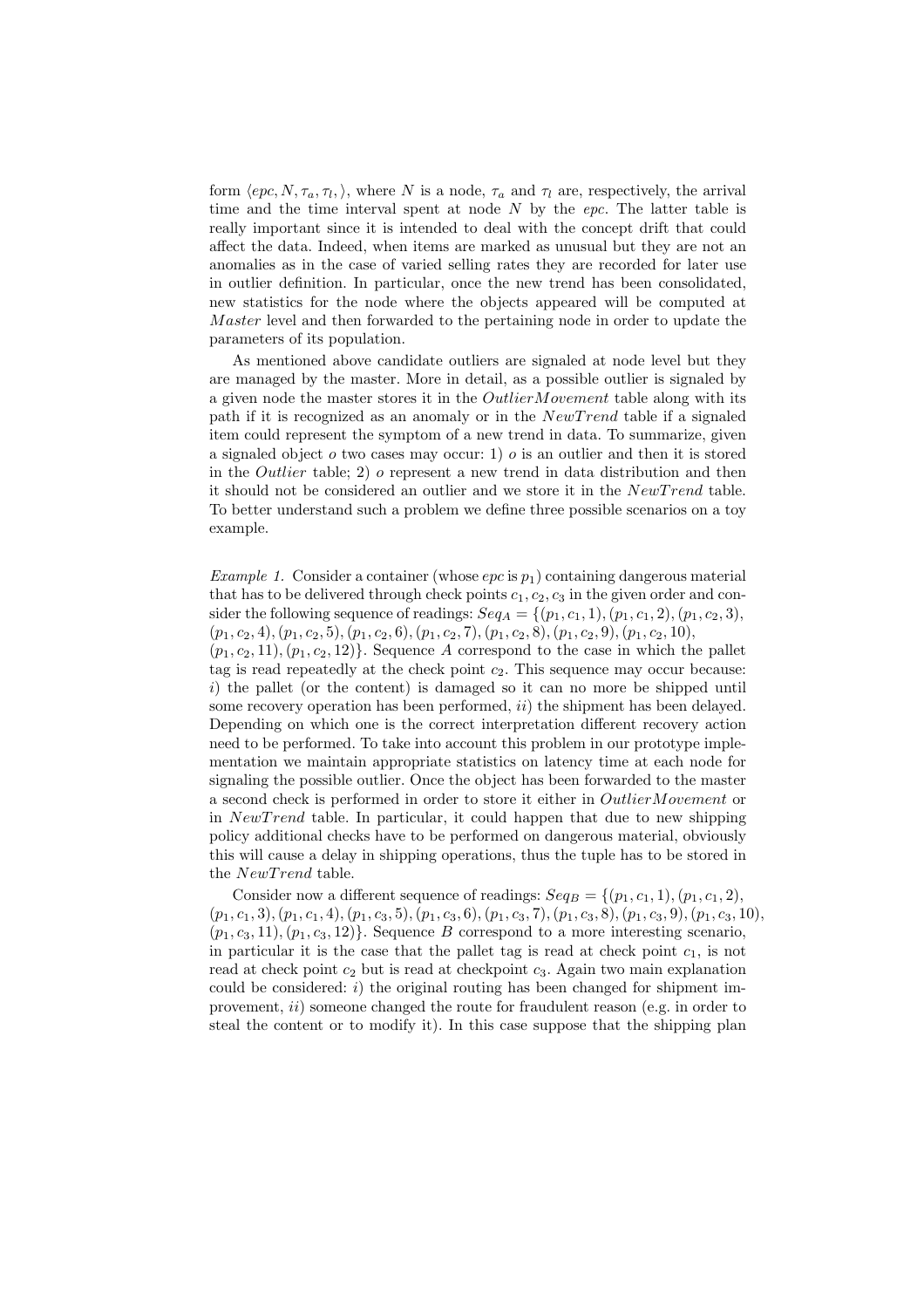form  $\langle epc, N, \tau_a, \tau_l \rangle$ , where N is a node,  $\tau_a$  and  $\tau_l$  are, respectively, the arrival time and the time interval spent at node  $N$  by the *epc*. The latter table is really important since it is intended to deal with the concept drift that could affect the data. Indeed, when items are marked as unusual but they are not an anomalies as in the case of varied selling rates they are recorded for later use in outlier definition. In particular, once the new trend has been consolidated, new statistics for the node where the objects appeared will be computed at M aster level and then forwarded to the pertaining node in order to update the parameters of its population.

As mentioned above candidate outliers are signaled at node level but they are managed by the master. More in detail, as a possible outlier is signaled by a given node the master stores it in the OutlierMovement table along with its path if it is recognized as an anomaly or in the  $NewTrend$  table if a signaled item could represent the symptom of a new trend in data. To summarize, given a signaled object  $o$  two cases may occur: 1)  $o$  is an outlier and then it is stored in the *Outlier* table; 2)  $\sigma$  represent a new trend in data distribution and then it should not be considered an outlier and we store it in the  $NewTrend$  table. To better understand such a problem we define three possible scenarios on a toy example.

Example 1. Consider a container (whose  $epc$  is  $p_1$ ) containing dangerous material that has to be delivered through check points  $c_1, c_2, c_3$  in the given order and consider the following sequence of readings:  $Seq_A = \{(p_1, c_1, 1), (p_1, c_1, 2), (p_1, c_2, 3),\}$  $(p_1, c_2, 4), (p_1, c_2, 5), (p_1, c_2, 6), (p_1, c_2, 7), (p_1, c_2, 8), (p_1, c_2, 9), (p_1, c_2, 10),$ 

 $(p_1, c_2, 11), (p_1, c_2, 12)$ . Sequence A correspond to the case in which the pallet tag is read repeatedly at the check point  $c_2$ . This sequence may occur because: i) the pallet (or the content) is damaged so it can no more be shipped until some recovery operation has been performed, *ii*) the shipment has been delayed. Depending on which one is the correct interpretation different recovery action need to be performed. To take into account this problem in our prototype implementation we maintain appropriate statistics on latency time at each node for signaling the possible outlier. Once the object has been forwarded to the master a second check is performed in order to store it either in OutlierMovement or in NewT rend table. In particular, it could happen that due to new shipping policy additional checks have to be performed on dangerous material, obviously this will cause a delay in shipping operations, thus the tuple has to be stored in the NewTrend table.

Consider now a different sequence of readings:  $Seq_B = \{(p_1, c_1, 1), (p_1, c_1, 2),\}$  $(p_1, c_1, 3), (p_1, c_1, 4), (p_1, c_3, 5), (p_1, c_3, 6), (p_1, c_3, 7), (p_1, c_3, 8), (p_1, c_3, 9), (p_1, c_3, 10),$  $(p_1, c_3, 11), (p_1, c_3, 12)$ . Sequence B correspond to a more interesting scenario, in particular it is the case that the pallet tag is read at check point  $c_1$ , is not read at check point  $c_2$  but is read at checkpoint  $c_3$ . Again two main explanation could be considered:  $i)$  the original routing has been changed for shipment improvement,  $ii)$  someone changed the route for fraudulent reason (e.g. in order to steal the content or to modify it). In this case suppose that the shipping plan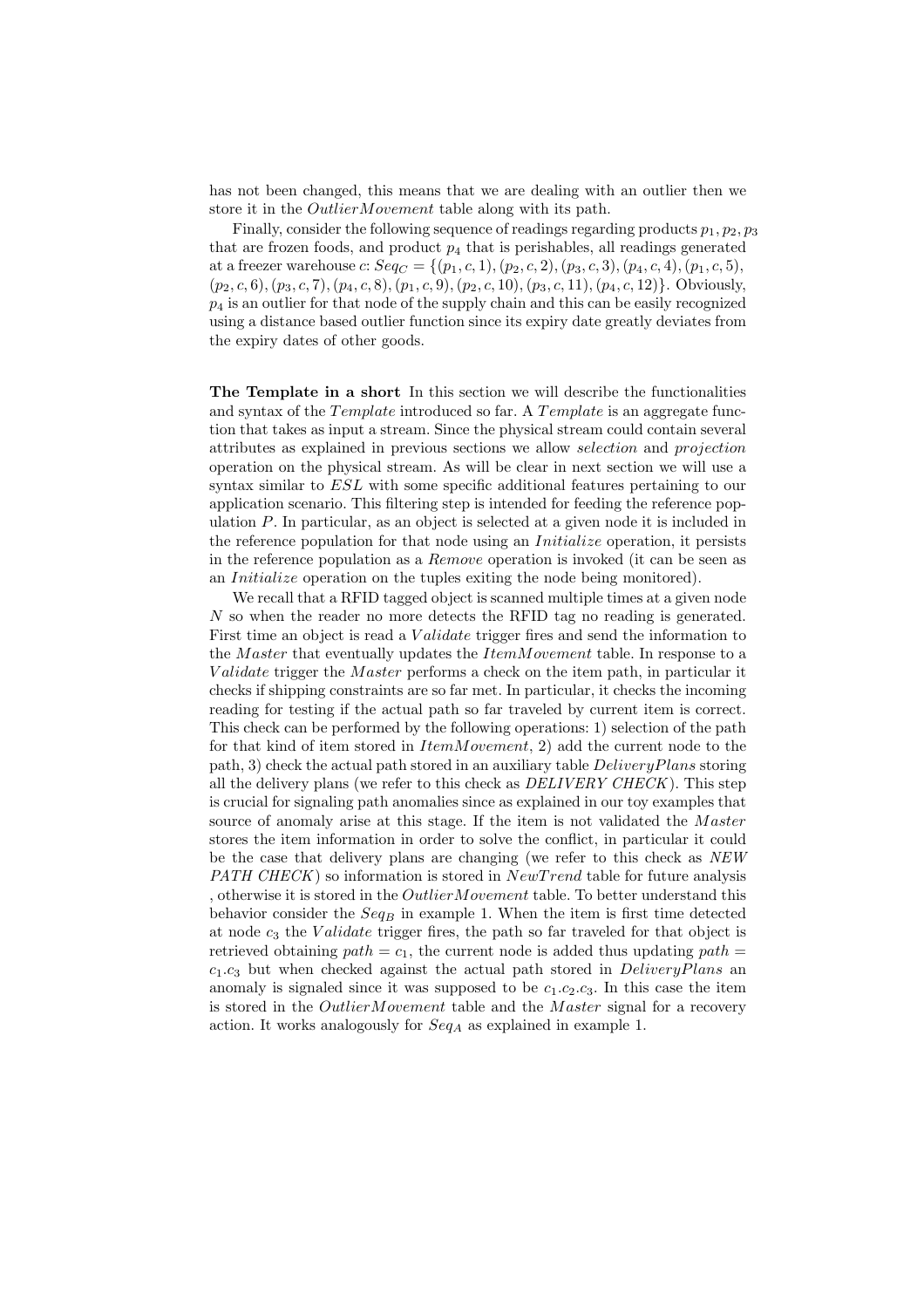has not been changed, this means that we are dealing with an outlier then we store it in the *OutlierMovement* table along with its path.

Finally, consider the following sequence of readings regarding products  $p_1, p_2, p_3$ that are frozen foods, and product  $p_4$  that is perishables, all readings generated at a freezer warehouse c:  $Seq_C = \{(p_1, c, 1), (p_2, c, 2), (p_3, c, 3), (p_4, c, 4), (p_1, c, 5),\}$  $(p_2, c, 6), (p_3, c, 7), (p_4, c, 8), (p_1, c, 9), (p_2, c, 10), (p_3, c, 11), (p_4, c, 12)\}.$  Obviously,  $p_4$  is an outlier for that node of the supply chain and this can be easily recognized using a distance based outlier function since its expiry date greatly deviates from the expiry dates of other goods.

The Template in a short In this section we will describe the functionalities and syntax of the *Template* introduced so far. A *Template* is an aggregate function that takes as input a stream. Since the physical stream could contain several attributes as explained in previous sections we allow selection and projection operation on the physical stream. As will be clear in next section we will use a syntax similar to  $ESL$  with some specific additional features pertaining to our application scenario. This filtering step is intended for feeding the reference population  $P$ . In particular, as an object is selected at a given node it is included in the reference population for that node using an *Initialize* operation, it persists in the reference population as a Remove operation is invoked (it can be seen as an Initialize operation on the tuples exiting the node being monitored).

We recall that a RFID tagged object is scanned multiple times at a given node N so when the reader no more detects the RFID tag no reading is generated. First time an object is read a *Validate* trigger fires and send the information to the *M* aster that eventually updates the  $ItemMorem$  table. In response to a Validate trigger the Master performs a check on the item path, in particular it checks if shipping constraints are so far met. In particular, it checks the incoming reading for testing if the actual path so far traveled by current item is correct. This check can be performed by the following operations: 1) selection of the path for that kind of item stored in *ItemMovement*, 2) add the current node to the path, 3) check the actual path stored in an auxiliary table DeliveryPlans storing all the delivery plans (we refer to this check as  $DELIVERY$   $CHECK$ ). This step is crucial for signaling path anomalies since as explained in our toy examples that source of anomaly arise at this stage. If the item is not validated the Master stores the item information in order to solve the conflict, in particular it could be the case that delivery plans are changing (we refer to this check as NEW PATH CHECK) so information is stored in  $NewTrend$  table for future analysis , otherwise it is stored in the OutlierMovement table. To better understand this behavior consider the  $Seq_B$  in example 1. When the item is first time detected at node  $c_3$  the Validate trigger fires, the path so far traveled for that object is retrieved obtaining  $path = c_1$ , the current node is added thus updating  $path =$  $c_1.c_3$  but when checked against the actual path stored in DeliveryPlans and anomaly is signaled since it was supposed to be  $c_1.c_2.c_3$ . In this case the item is stored in the *OutlierMovement* table and the *Master* signal for a recovery action. It works analogously for  $Seq<sub>A</sub>$  as explained in example 1.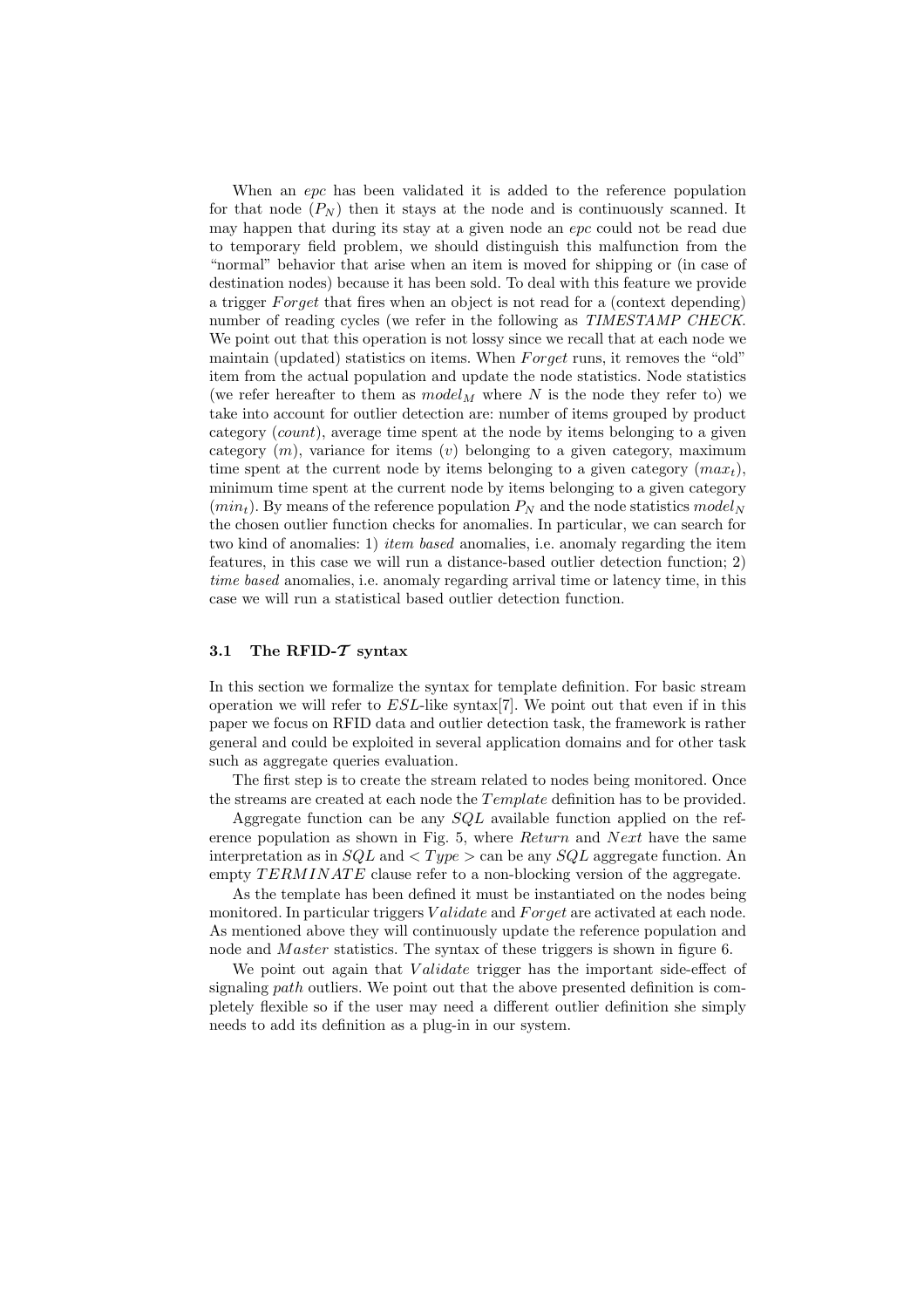When an *epc* has been validated it is added to the reference population for that node  $(P_N)$  then it stays at the node and is continuously scanned. It may happen that during its stay at a given node an epc could not be read due to temporary field problem, we should distinguish this malfunction from the "normal" behavior that arise when an item is moved for shipping or (in case of destination nodes) because it has been sold. To deal with this feature we provide a trigger Forget that fires when an object is not read for a (context depending) number of reading cycles (we refer in the following as TIMESTAMP CHECK. We point out that this operation is not lossy since we recall that at each node we maintain (updated) statistics on items. When  $Forget$  runs, it removes the "old" item from the actual population and update the node statistics. Node statistics (we refer hereafter to them as  $model_M$  where N is the node they refer to) we take into account for outlier detection are: number of items grouped by product category (count), average time spent at the node by items belonging to a given category  $(m)$ , variance for items  $(v)$  belonging to a given category, maximum time spent at the current node by items belonging to a given category  $(max<sub>t</sub>)$ , minimum time spent at the current node by items belonging to a given category  $(min_t)$ . By means of the reference population  $P_N$  and the node statistics model<sub>N</sub> the chosen outlier function checks for anomalies. In particular, we can search for two kind of anomalies: 1) item based anomalies, i.e. anomaly regarding the item features, in this case we will run a distance-based outlier detection function; 2) time based anomalies, i.e. anomaly regarding arrival time or latency time, in this case we will run a statistical based outlier detection function.

#### 3.1 The RFID- $\mathcal T$  syntax

In this section we formalize the syntax for template definition. For basic stream operation we will refer to  $ESL$ -like syntax<sup>[7]</sup>. We point out that even if in this paper we focus on RFID data and outlier detection task, the framework is rather general and could be exploited in several application domains and for other task such as aggregate queries evaluation.

The first step is to create the stream related to nodes being monitored. Once the streams are created at each node the Template definition has to be provided.

Aggregate function can be any  $SQL$  available function applied on the reference population as shown in Fig. 5, where Return and Next have the same interpretation as in  $SQL$  and  $\langle Type \rangle$  can be any  $SQL$  aggregate function. An empty  $TERMINATE$  clause refer to a non-blocking version of the aggregate.

As the template has been defined it must be instantiated on the nodes being monitored. In particular triggers  $Validate$  and  $Forget$  are activated at each node. As mentioned above they will continuously update the reference population and node and *Master* statistics. The syntax of these triggers is shown in figure 6.

We point out again that *Validate* trigger has the important side-effect of signaling path outliers. We point out that the above presented definition is completely flexible so if the user may need a different outlier definition she simply needs to add its definition as a plug-in in our system.